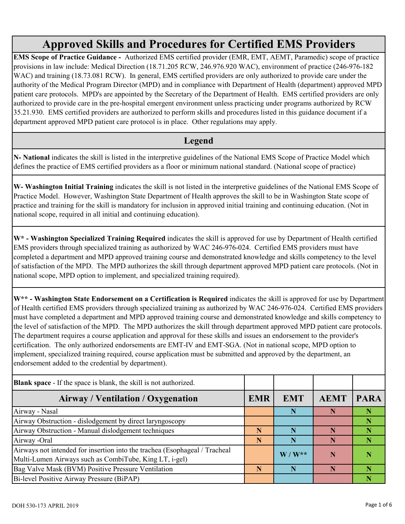## **Approved Skills and Procedures for Certified EMS Providers**

**EMS Scope of Practice Guidance -** Authorized EMS certified provider (EMR, EMT, AEMT, Paramedic) scope of practice provisions in law include: Medical Direction (18.71.205 RCW, 246.976.920 WAC), environment of practice (246-976-182 WAC) and training (18.73.081 RCW). In general, EMS certified providers are only authorized to provide care under the authority of the Medical Program Director (MPD) and in compliance with Department of Health (department) approved MPD patient care protocols. MPD's are appointed by the Secretary of the Department of Health. EMS certified providers are only authorized to provide care in the pre-hospital emergent environment unless practicing under programs authorized by RCW 35.21.930. EMS certified providers are authorized to perform skills and procedures listed in this guidance document if a department approved MPD patient care protocol is in place. Other regulations may apply.

## **Legend**

**N- National** indicates the skill is listed in the interpretive guidelines of the National EMS Scope of Practice Model which defines the practice of EMS certified providers as a floor or minimum national standard. (National scope of practice)

**W- Washington Initial Training** indicates the skill is not listed in the interpretive guidelines of the National EMS Scope of Practice Model. However, Washington State Department of Health approves the skill to be in Washington State scope of practice and training for the skill is mandatory for inclusion in approved initial training and continuing education. (Not in national scope, required in all initial and continuing education).

**W\* - Washington Specialized Training Required** indicates the skill is approved for use by Department of Health certified EMS providers through specialized training as authorized by WAC 246-976-024. Certified EMS providers must have completed a department and MPD approved training course and demonstrated knowledge and skills competency to the level of satisfaction of the MPD. The MPD authorizes the skill through department approved MPD patient care protocols. (Not in national scope, MPD option to implement, and specialized training required).

**W\*\* - Washington State Endorsement on a Certification is Required** indicates the skill is approved for use by Department of Health certified EMS providers through specialized training as authorized by WAC 246-976-024. Certified EMS providers must have completed a department and MPD approved training course and demonstrated knowledge and skills competency to the level of satisfaction of the MPD. The MPD authorizes the skill through department approved MPD patient care protocols. The department requires a course application and approval for these skills and issues an endorsement to the provider's certification. The only authorized endorsements are EMT-IV and EMT-SGA. (Not in national scope, MPD option to implement, specialized training required, course application must be submitted and approved by the department, an endorsement added to the credential by department).

| <b>Blank space</b> - If the space is blank, the skill is not authorized.                                                             |            |            |             |             |
|--------------------------------------------------------------------------------------------------------------------------------------|------------|------------|-------------|-------------|
| Airway / Ventilation / Oxygenation                                                                                                   | <b>EMR</b> | <b>EMT</b> | <b>AEMT</b> | <b>PARA</b> |
| Airway - Nasal                                                                                                                       |            | N          | N           |             |
| Airway Obstruction - dislodgement by direct laryngoscopy                                                                             |            |            |             |             |
| Airway Obstruction - Manual dislodgement techniques                                                                                  | N          | N          |             |             |
| Airway -Oral                                                                                                                         | N          | N          |             |             |
| Airways not intended for insertion into the trachea (Esophageal / Tracheal<br>Multi-Lumen Airways such as CombiTube, King LT, i-gel) |            | $W/W^{**}$ |             |             |
| Bag Valve Mask (BVM) Positive Pressure Ventilation                                                                                   | N          | N          | N           |             |
| Bi-level Positive Airway Pressure (BiPAP)                                                                                            |            |            |             |             |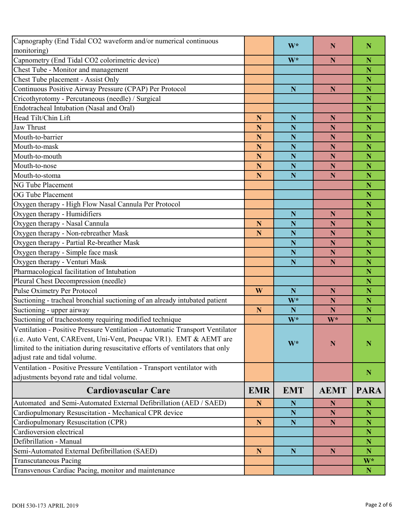| Capnography (End Tidal CO2 waveform and/or numerical continuous<br>monitoring)  |             | $W^*$       | N           | N                       |
|---------------------------------------------------------------------------------|-------------|-------------|-------------|-------------------------|
| Capnometry (End Tidal CO2 colorimetric device)                                  |             | W*          | N           | N                       |
| Chest Tube - Monitor and management                                             |             |             |             | N                       |
| Chest Tube placement - Assist Only                                              |             |             |             | N                       |
| Continuous Positive Airway Pressure (CPAP) Per Protocol                         |             | $\mathbf N$ | $\mathbf N$ | N                       |
| Cricothyrotomy - Percutaneous (needle) / Surgical                               |             |             |             | N                       |
| Endotracheal Intubation (Nasal and Oral)                                        |             |             |             | N                       |
| Head Tilt/Chin Lift                                                             | $\mathbf N$ | N           | N           | N                       |
| <b>Jaw Thrust</b>                                                               | N           | N           | N           | N                       |
| Mouth-to-barrier                                                                | N           | N           | N           | N                       |
| Mouth-to-mask                                                                   | N           | N           | N           | N                       |
| Mouth-to-mouth                                                                  | $\mathbf N$ | N           | N           | N                       |
| Mouth-to-nose                                                                   | $\mathbf N$ | N           | N           | N                       |
| Mouth-to-stoma                                                                  | $\mathbf N$ | N           | $\mathbf N$ | N                       |
| <b>NG Tube Placement</b>                                                        |             |             |             | N                       |
| <b>OG Tube Placement</b>                                                        |             |             |             | N                       |
| Oxygen therapy - High Flow Nasal Cannula Per Protocol                           |             |             |             | N                       |
| Oxygen therapy - Humidifiers                                                    |             | N           | N           | N                       |
| Oxygen therapy - Nasal Cannula                                                  | N           | N           | $\mathbf N$ | N                       |
| Oxygen therapy - Non-rebreather Mask                                            | N           | N           | N           | N                       |
| Oxygen therapy - Partial Re-breather Mask                                       |             | N           | $\mathbf N$ | N                       |
| Oxygen therapy - Simple face mask                                               |             | N           | N           | N                       |
|                                                                                 |             | N           | N           | N                       |
| Oxygen therapy - Venturi Mask<br>Pharmacological facilitation of Intubation     |             |             |             | N                       |
|                                                                                 |             |             |             | N                       |
| Pleural Chest Decompression (needle)                                            |             |             |             |                         |
| Pulse Oximetry Per Protocol                                                     | W           | N           | $\mathbf N$ | N<br>N                  |
| Suctioning - tracheal bronchial suctioning of an already intubated patient      |             | $W^*$       | N           |                         |
| Suctioning - upper airway                                                       | $\mathbf N$ | N           | N           | N                       |
| Suctioning of tracheostomy requiring modified technique                         |             | $W^*$       | $W^*$       | N                       |
| Ventilation - Positive Pressure Ventilation - Automatic Transport Ventilator    |             |             |             |                         |
| (i.e. Auto Vent, CAREvent, Uni-Vent, Pneupac VR1). EMT & AEMT are               |             | $W^*$       | N           | N                       |
| limited to the initiation during resuscitative efforts of ventilators that only |             |             |             |                         |
| adjust rate and tidal volume.                                                   |             |             |             |                         |
| Ventilation - Positive Pressure Ventilation - Transport ventilator with         |             |             |             | $\mathbf N$             |
| adjustments beyond rate and tidal volume.                                       |             |             |             |                         |
| <b>Cardiovascular Care</b>                                                      | <b>EMR</b>  | <b>EMT</b>  | <b>AEMT</b> | <b>PARA</b>             |
| Automated and Semi-Automated External Defibrillation (AED / SAED)               | $\mathbf N$ | N           | N           | N                       |
| Cardiopulmonary Resuscitation - Mechanical CPR device                           |             | $\mathbf N$ | $\mathbf N$ | N                       |
| Cardiopulmonary Resuscitation (CPR)                                             | ${\bf N}$   | $\mathbf N$ | ${\bf N}$   | $\overline{\mathbf{N}}$ |
| Cardioversion electrical                                                        |             |             |             | N                       |
| Defibrillation - Manual                                                         |             |             |             | N                       |
| Semi-Automated External Defibrillation (SAED)                                   | $\mathbf N$ | N           | $\mathbf N$ | N                       |
| <b>Transcutaneous Pacing</b>                                                    |             |             |             | W*                      |
| Transvenous Cardiac Pacing, monitor and maintenance                             |             |             |             | N                       |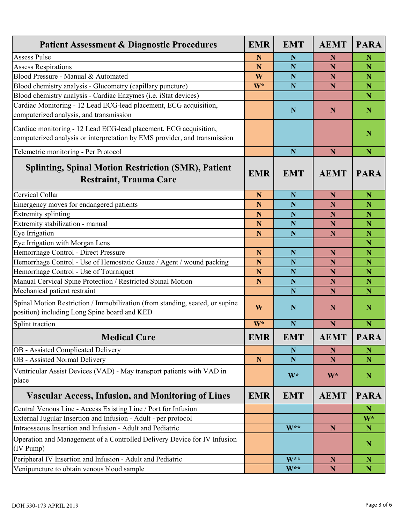| <b>Patient Assessment &amp; Diagnostic Procedures</b>                                                                                          | <b>EMR</b>  | <b>EMT</b>  | <b>AEMT</b> | <b>PARA</b> |
|------------------------------------------------------------------------------------------------------------------------------------------------|-------------|-------------|-------------|-------------|
| <b>Assess Pulse</b>                                                                                                                            | N           | N           | N           | N           |
| <b>Assess Respirations</b>                                                                                                                     | $\mathbf N$ | N           | N           | N           |
| Blood Pressure - Manual & Automated                                                                                                            | W           | $\mathbf N$ | $\mathbf N$ | N           |
| Blood chemistry analysis - Glucometry (capillary puncture)                                                                                     | W*          | N           | N           | N           |
| Blood chemistry analysis - Cardiac Enzymes (i.e. iStat devices)                                                                                |             |             |             | N           |
| Cardiac Monitoring - 12 Lead ECG-lead placement, ECG acquisition,                                                                              |             | N           | N           | N           |
| computerized analysis, and transmission                                                                                                        |             |             |             |             |
| Cardiac monitoring - 12 Lead ECG-lead placement, ECG acquisition,<br>computerized analysis or interpretation by EMS provider, and transmission |             |             |             | N           |
| Telemetric monitoring - Per Protocol                                                                                                           |             | N           | $\mathbf N$ | N           |
| <b>Splinting, Spinal Motion Restriction (SMR), Patient</b><br><b>Restraint, Trauma Care</b>                                                    | <b>EMR</b>  | <b>EMT</b>  | <b>AEMT</b> | <b>PARA</b> |
| Cervical Collar                                                                                                                                | $\mathbf N$ | N           | N           | $\mathbf N$ |
| Emergency moves for endangered patients                                                                                                        | $\mathbf N$ | N           | N           | N           |
| <b>Extremity splinting</b>                                                                                                                     | N           | N           | N           | N           |
| Extremity stabilization - manual                                                                                                               | N           | $\mathbf N$ | $\mathbf N$ | N           |
| Eye Irrigation                                                                                                                                 | N           | N           | N           | N           |
| Eye Irrigation with Morgan Lens                                                                                                                |             |             |             | N           |
| Hemorrhage Control - Direct Pressure                                                                                                           | N           | N           | N           | N           |
| Hemorrhage Control - Use of Hemostatic Gauze / Agent / wound packing                                                                           | N           | N           | N           | N           |
| Hemorrhage Control - Use of Tourniquet                                                                                                         | N           | N           | $\mathbf N$ | N           |
| Manual Cervical Spine Protection / Restricted Spinal Motion                                                                                    | $\mathbf N$ | N           | N           | N           |
| Mechanical patient restraint                                                                                                                   |             | N           | N           | N           |
| Spinal Motion Restriction / Immobilization (from standing, seated, or supine<br>position) including Long Spine board and KED                   | W           | N           | N           | N           |
| Splint traction                                                                                                                                | $W^*$       | N           | N           | N           |
| <b>Medical Care</b>                                                                                                                            | <b>EMR</b>  | <b>EMT</b>  | <b>AEMT</b> | <b>PARA</b> |
| OB - Assisted Complicated Delivery                                                                                                             |             | $\mathbf N$ | $\mathbf N$ | $\mathbb N$ |
| OB - Assisted Normal Delivery                                                                                                                  | $\mathbf N$ | N           | N           | N           |
| Ventricular Assist Devices (VAD) - May transport patients with VAD in<br>place                                                                 |             | W*          | $W^*$       | $\mathbf N$ |
| <b>Vascular Access, Infusion, and Monitoring of Lines</b>                                                                                      | <b>EMR</b>  | <b>EMT</b>  | <b>AEMT</b> | <b>PARA</b> |
| Central Venous Line - Access Existing Line / Port for Infusion                                                                                 |             |             |             | $\mathbb N$ |
| External Jugular Insertion and Infusion - Adult - per protocol                                                                                 |             |             |             | $W^*$       |
| Intraosseous Insertion and Infusion - Adult and Pediatric                                                                                      |             | W**         | $\mathbf N$ | ${\bf N}$   |
| Operation and Management of a Controlled Delivery Device for IV Infusion<br>(IV Pump)                                                          |             |             |             | $\mathbb N$ |
| Peripheral IV Insertion and Infusion - Adult and Pediatric                                                                                     |             | $W^{**}$    | $\mathbf N$ | $\mathbb N$ |
| Venipuncture to obtain venous blood sample                                                                                                     |             | W**         | $\mathbb N$ | ${\bf N}$   |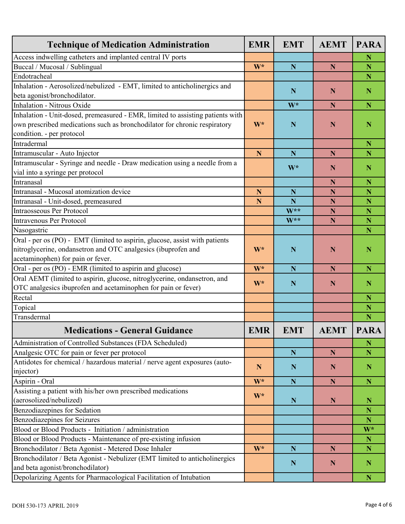| <b>Technique of Medication Administration</b>                                                             | <b>EMR</b>  | <b>EMT</b>  | <b>AEMT</b> | <b>PARA</b> |
|-----------------------------------------------------------------------------------------------------------|-------------|-------------|-------------|-------------|
| Access indwelling catheters and implanted central IV ports                                                |             |             |             | N           |
| Buccal / Mucosal / Sublingual                                                                             | W*          | N           | N           | N           |
| Endotracheal                                                                                              |             |             |             | N           |
| Inhalation - Aerosolized/nebulized - EMT, limited to anticholinergics and<br>beta agonist/bronchodilator. |             | N           | N           | N           |
| Inhalation - Nitrous Oxide                                                                                |             | W*          | N           | N           |
| Inhalation - Unit-dosed, premeasured - EMR, limited to assisting patients with                            |             |             |             |             |
| own prescribed medications such as bronchodilator for chronic respiratory                                 | W*          | $\mathbf N$ | $\mathbf N$ | N           |
| condition. - per protocol                                                                                 |             |             |             |             |
| Intradermal                                                                                               |             |             |             | N           |
| Intramuscular - Auto Injector                                                                             | $\mathbf N$ | N           | N           | Ñ           |
| Intramuscular - Syringe and needle - Draw medication using a needle from a                                |             |             |             |             |
|                                                                                                           |             | $W^*$       | N           | $\mathbb N$ |
| vial into a syringe per protocol<br>Intranasal                                                            |             |             |             | N           |
| Intranasal - Mucosal atomization device                                                                   |             |             | N           |             |
|                                                                                                           | $\mathbf N$ | N<br>N      | N           | N<br>N      |
| Intranasal - Unit-dosed, premeasured<br><b>Intraosseous Per Protocol</b>                                  | N           | $W^{**}$    | $\mathbf N$ |             |
|                                                                                                           |             | $W^{**}$    | $\mathbf N$ | N           |
| <b>Intravenous Per Protocol</b>                                                                           |             |             | N           | N<br>N      |
| Nasogastric                                                                                               |             |             |             |             |
| Oral - per os (PO) - EMT (limited to aspirin, glucose, assist with patients                               |             |             |             |             |
| nitroglycerine, ondansetron and OTC analgesics (ibuprofen and                                             | W*          | N           | N           | N           |
| acetaminophen) for pain or fever.                                                                         | W*          | N           | N           | N           |
| Oral - per os (PO) - EMR (limited to aspirin and glucose)                                                 |             |             |             |             |
| Oral AEMT (limited to aspirin, glucose, nitroglycerine, ondansetron, and                                  | W*          | N           | N           | $\mathbb N$ |
| OTC analgesics ibuprofen and acetaminophen for pain or fever)<br>Rectal                                   |             |             |             | N           |
| Topical                                                                                                   |             |             |             | N           |
| Transdermal                                                                                               |             |             |             | N           |
|                                                                                                           |             |             |             |             |
| <b>Medications - General Guidance</b>                                                                     | <b>EMR</b>  | EMT         | <b>AEMT</b> | <b>PARA</b> |
| Administration of Controlled Substances (FDA Scheduled)                                                   |             |             |             | N           |
| Analgesic OTC for pain or fever per protocol                                                              |             | $\mathbf N$ | $\mathbf N$ | N           |
| Antidotes for chemical / hazardous material / nerve agent exposures (auto-<br>injector)                   | ${\bf N}$   | $\mathbf N$ | $\mathbf N$ | ${\bf N}$   |
| Aspirin - Oral                                                                                            | W*          | $\mathbf N$ | ${\bf N}$   | $\mathbf N$ |
| Assisting a patient with his/her own prescribed medications                                               |             |             |             |             |
| (aerosolized/nebulized)                                                                                   | W*          | $\mathbf N$ | $\mathbb N$ | $\mathbb N$ |
| Benzodiazepines for Sedation                                                                              |             |             |             | N           |
| Benzodiazepines for Seizures                                                                              |             |             |             | N           |
| Blood or Blood Products - Initiation / administration                                                     |             |             |             | $W^*$       |
| Blood or Blood Products - Maintenance of pre-existing infusion                                            |             |             |             | N           |
| Bronchodilator / Beta Agonist - Metered Dose Inhaler                                                      | $W^*$       | $\mathbf N$ | N           | $\mathbf N$ |
| Bronchodilator / Beta Agonist - Nebulizer (EMT limited to anticholinergics                                |             |             |             |             |
| and beta agonist/bronchodilator)                                                                          |             | $\mathbf N$ | $\mathbf N$ | $\mathbf N$ |
| Depolarizing Agents for Pharmacological Facilitation of Intubation                                        |             |             |             | $\mathbb N$ |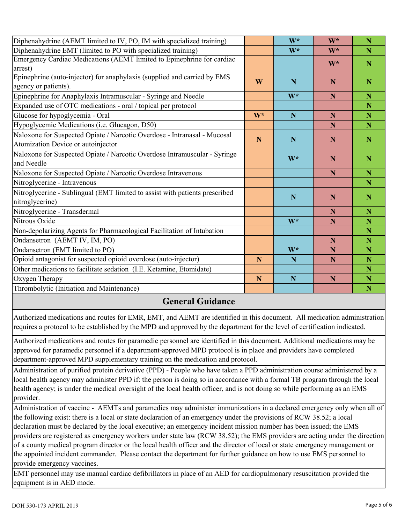| Diphenahydrine (AEMT limited to IV, PO, IM with specialized training)       |             | $W^*$       | $W^*$ | N                       |
|-----------------------------------------------------------------------------|-------------|-------------|-------|-------------------------|
| Diphenahydrine EMT (limited to PO with specialized training)                |             | $W^*$       | $W^*$ | N                       |
| Emergency Cardiac Medications (AEMT limited to Epinephrine for cardiac      |             |             | W*    | N                       |
| arrest)                                                                     |             |             |       |                         |
| Epinephrine (auto-injector) for anaphylaxis (supplied and carried by EMS    | W           | N           | N     | N                       |
| agency or patients).                                                        |             |             |       |                         |
| Epinephrine for Anaphylaxis Intramuscular - Syringe and Needle              |             | $W^*$       | N     | N                       |
| Expanded use of OTC medications - oral / topical per protocol               |             |             |       | N                       |
| Glucose for hypoglycemia - Oral                                             | $W^*$       | $\mathbf N$ | N     | N                       |
| Hypoglycemic Medications (i.e. Glucagon, D50)                               |             |             | N     | N                       |
| Naloxone for Suspected Opiate / Narcotic Overdose - Intranasal - Mucosal    |             |             |       |                         |
| Atomization Device or autoinjector                                          | $\mathbf N$ | N           | N     | N                       |
| Naloxone for Suspected Opiate / Narcotic Overdose Intramuscular - Syringe   |             |             |       |                         |
| and Needle                                                                  |             | $W^*$       | N     | N                       |
| Naloxone for Suspected Opiate / Narcotic Overdose Intravenous               |             |             | N     | N                       |
| Nitroglycerine - Intravenous                                                |             |             |       | N                       |
| Nitroglycerine - Sublingual (EMT limited to assist with patients prescribed |             |             |       |                         |
| nitroglycerine)                                                             |             | N           | N     | N                       |
| Nitroglycerine - Transdermal                                                |             |             | N     | N                       |
| Nitrous Oxide                                                               |             | $W^*$       | N     | N                       |
| Non-depolarizing Agents for Pharmacological Facilitation of Intubation      |             |             |       | $\overline{\mathbf{N}}$ |
| Ondansetron (AEMT IV, IM, PO)                                               |             |             | N     | N                       |
| Ondansetron (EMT limited to PO)                                             |             | W*          | N     | N                       |
| Opioid antagonist for suspected opioid overdose (auto-injector)             | $\mathbf N$ | N           | N     | N                       |
| Other medications to facilitate sedation (I.E. Ketamine, Etomidate)         |             |             |       | N                       |
| Oxygen Therapy                                                              | $\mathbf N$ | N           | N     | N                       |
| Thrombolytic (Initiation and Maintenance)                                   |             |             |       | N                       |

## **General Guidance**

Authorized medications and routes for EMR, EMT, and AEMT are identified in this document. All medication administration requires a protocol to be established by the MPD and approved by the department for the level of certification indicated.

Authorized medications and routes for paramedic personnel are identified in this document. Additional medications may be approved for paramedic personnel if a department-approved MPD protocol is in place and providers have completed department-approved MPD supplementary training on the medication and protocol.

Administration of purified protein derivative (PPD) - People who have taken a PPD administration course administered by a local health agency may administer PPD if: the person is doing so in accordance with a formal TB program through the local health agency; is under the medical oversight of the local health officer, and is not doing so while performing as an EMS provider.

Administration of vaccine - AEMTs and paramedics may administer immunizations in a declared emergency only when all of the following exist: there is a local or state declaration of an emergency under the provisions of RCW 38.52; a local declaration must be declared by the local executive; an emergency incident mission number has been issued; the EMS providers are registered as emergency workers under state law (RCW 38.52); the EMS providers are acting under the direction of a county medical program director or the local health officer and the director of local or state emergency management or the appointed incident commander. Please contact the department for further guidance on how to use EMS personnel to provide emergency vaccines.

EMT personnel may use manual cardiac defibrillators in place of an AED for cardiopulmonary resuscitation provided the equipment is in AED mode.